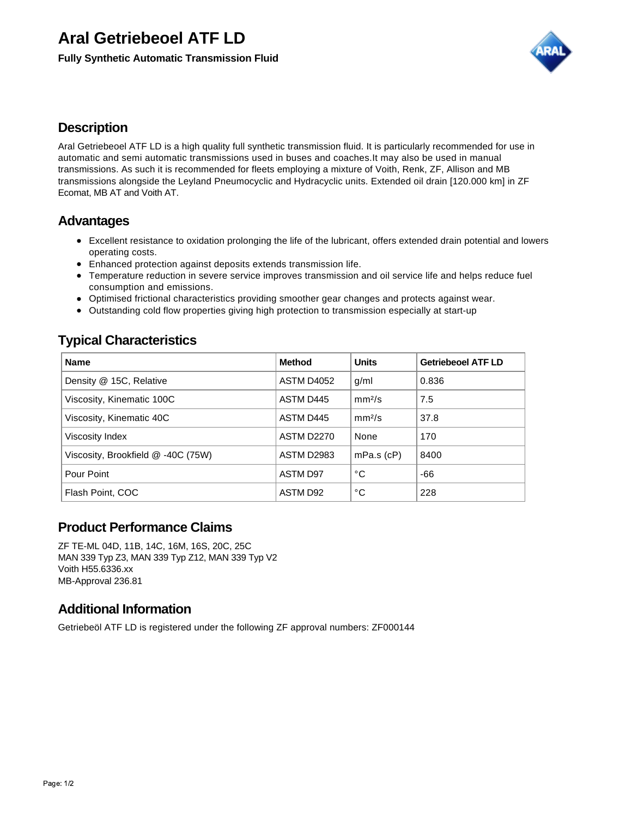# **Aral Getriebeoel ATF LD**

**Fully Synthetic Automatic Transmission Fluid**



#### **Description**

Aral Getriebeoel ATF LD is a high quality full synthetic transmission fluid. It is particularly recommended for use in automatic and semi automatic transmissions used in buses and coaches.It may also be used in manual transmissions. As such it is recommended for fleets employing a mixture of Voith, Renk, ZF, Allison and MB transmissions alongside the Leyland Pneumocyclic and Hydracyclic units. Extended oil drain [120.000 km] in ZF Ecomat, MB AT and Voith AT.

### **Advantages**

- Excellent resistance to oxidation prolonging the life of the lubricant, offers extended drain potential and lowers operating costs.
- Enhanced protection against deposits extends transmission life.
- Temperature reduction in severe service improves transmission and oil service life and helps reduce fuel consumption and emissions.
- Optimised frictional characteristics providing smoother gear changes and protects against wear.
- Outstanding cold flow properties giving high protection to transmission especially at start-up

### **Typical Characteristics**

| <b>Name</b>                        | Method            | <b>Units</b>       | <b>Getriebeoel ATF LD</b> |
|------------------------------------|-------------------|--------------------|---------------------------|
| Density @ 15C, Relative            | <b>ASTM D4052</b> | g/ml               | 0.836                     |
| Viscosity, Kinematic 100C          | ASTM D445         | mm <sup>2</sup> /s | 7.5                       |
| Viscosity, Kinematic 40C           | ASTM D445         | mm <sup>2</sup> /s | 37.8                      |
| Viscosity Index                    | <b>ASTM D2270</b> | None               | 170                       |
| Viscosity, Brookfield @ -40C (75W) | <b>ASTM D2983</b> | $mPa.s$ ( $cP$ )   | 8400                      |
| Pour Point                         | <b>ASTM D97</b>   | °C                 | -66                       |
| Flash Point, COC                   | ASTM D92          | °C                 | 228                       |

# **Product Performance Claims**

ZF TE-ML 04D, 11B, 14C, 16M, 16S, 20C, 25C MAN 339 Typ Z3, MAN 339 Typ Z12, MAN 339 Typ V2 Voith H55.6336.xx MB-Approval 236.81

# **Additional Information**

Getriebeöl ATF LD is registered under the following ZF approval numbers: ZF000144